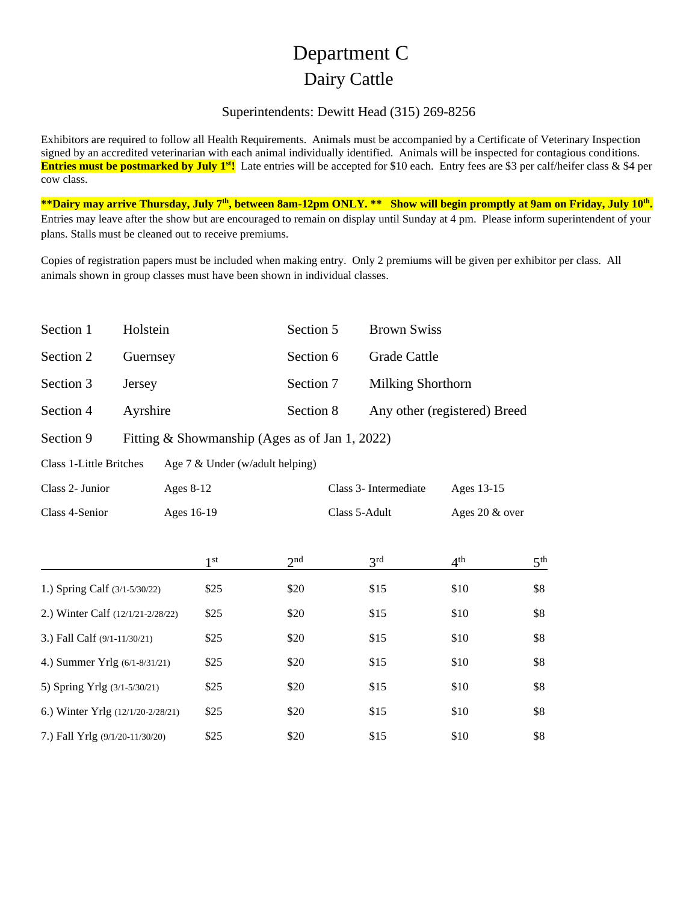## Department C Dairy Cattle

## Superintendents: Dewitt Head (315) 269-8256

Exhibitors are required to follow all Health Requirements. Animals must be accompanied by a Certificate of Veterinary Inspection signed by an accredited veterinarian with each animal individually identified. Animals will be inspected for contagious conditions. **Entries must be postmarked by July 1<sup>st</sup>!** Late entries will be accepted for \$10 each. Entry fees are \$3 per calf/heifer class & \$4 per cow class.

**\*\*Dairy may arrive Thursday, July 7 th, between 8am-12pm ONLY. \*\* Show will begin promptly at 9am on Friday, July 10th .**  Entries may leave after the show but are encouraged to remain on display until Sunday at 4 pm. Please inform superintendent of your plans. Stalls must be cleaned out to receive premiums.

Copies of registration papers must be included when making entry. Only 2 premiums will be given per exhibitor per class. All animals shown in group classes must have been shown in individual classes.

| Section 1 | Holstein | Section 5 Brown Swiss |                              |
|-----------|----------|-----------------------|------------------------------|
| Section 2 | Guernsey | Section 6             | <b>Grade Cattle</b>          |
| Section 3 | Jersey   |                       | Section 7 Milking Shorthorn  |
| Section 4 | Ayrshire | Section 8             | Any other (registered) Breed |

Section 9 Fitting & Showmanship (Ages as of Jan 1, 2022)

Class 1-Little Britches Age 7 & Under (w/adult helping)

| Class 2- Junior                   | Ages $8-12$     |                 | Class 3- Intermediate |                 | Ages 13-15      |  |
|-----------------------------------|-----------------|-----------------|-----------------------|-----------------|-----------------|--|
| Class 4-Senior                    | Ages 16-19      |                 | Class 5-Adult         |                 | Ages 20 & over  |  |
|                                   | 1 <sup>st</sup> | 2 <sup>nd</sup> | 3 <sup>rd</sup>       | 4 <sup>th</sup> | 5 <sup>th</sup> |  |
| 1.) Spring Calf (3/1-5/30/22)     | \$25            | \$20            | \$15                  | \$10            | \$8             |  |
| 2.) Winter Calf (12/1/21-2/28/22) | \$25            | \$20            | \$15                  | \$10            | \$8             |  |
| 3.) Fall Calf (9/1-11/30/21)      | \$25            | \$20            | \$15                  | \$10            | \$8             |  |
| 4.) Summer Yrlg (6/1-8/31/21)     | \$25            | \$20            | \$15                  | \$10            | \$8             |  |
| 5) Spring Yrlg (3/1-5/30/21)      | \$25            | \$20            | \$15                  | \$10            | \$8             |  |
| 6.) Winter Yrlg (12/1/20-2/28/21) | \$25            | \$20            | \$15                  | \$10            | \$8             |  |
| 7.) Fall Yrlg (9/1/20-11/30/20)   | \$25            | \$20            | \$15                  | \$10            | \$8             |  |